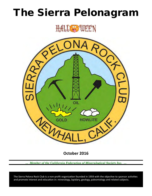# The Sierra Pelonagram

# HALL & WEEN



**October 2016**

*… Member of the California Federation of Mineralogical Society Inc. …*

 and promote interest and education in: mineralogy, lapidary, geology, paleontology and related subjects. The Sierra Pelona Rock Club is a non-profit organization founded in 1959 with the objective to sponsor activities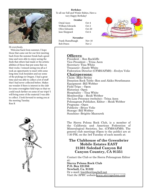

Hi everybody,

 Welcome back from summer, I hope those that came out for our first meeting back from the summer break had a good time and were able to enjoy seeing the finds that others had made or the artistic abilities of those that put some flair on their rocks. I missed seeing you all as I took an opportunity to meet with some long time rock hounders and see some of the pickings in Oregon. I had a great time and was able to collect a lot of stuff that I had never collected before. Makes me wonder if there is interest in the club for some overnighter field trips so that we could reach farther on some of our trips? I will bring some of the material I was able to collect. I look forward to seeing you at the meeting Tuesday. Ron R



#### **Birthdays**

To all our Fall and Winter Babies, Have a very Happy Birthday!

#### **October**

Omid Aeen Oct 4 William Edwards Oct 2 Olive Edwards Oct 20 Jane Sheppard Oct 6



#### **November**

Frank Humelbaugh Nov 10 Bob Peters Nov 2

# **Officers:**

President – Ron Rackliffe Vice‑President – Trina Aeen Secretary: Tina White Treasurer –Sandy White Federation Director (CFMS/AFMS) --Evelyn Velie

### **Chairpersons:**

Claim--Mike Serino Donation Rock Table--Ron and Akiko Strathmann Equipment--Bill Webber Field Trips – Open Historian ‑Open Hospitality – Tina White Membership – Heidi Webber On-Line Presence (website)-- Trina Aeen Pelonagram Publisher, Editor – Heidi Webber Programs –Open Publicity –Bruce Velie Storage--Bill Webber Sunshine--Brigitte Mazourek

The Sierra Pelona Rock Club, is a member of the California and American Federation of Mineralogical Societies, Inc. (CFMS/AFMS). The general club meetings (Open to the public) are at 7:30 PM, on the 3rd Tuesday of each month at:

## **The Clubhouse of the Greenbrier Mobile Estates EAST 21301 Soledad Canyon Rd Canyon Country, CA 91351**

Contact the Club or the Sierra Pelonagram Editor at:

**Sierra Pelona Rock Club P.O. Box 221256 Newhall, Ca. 91322** Or e‑mail: hwebber@pacbell.net *Visit the SPRC website [www.sierrapelona.com](http://www.sierrapelona.com/)*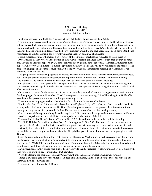#### **SPRC Board Meeting** October 4th, 2016 Greenbrier Estates Clubhouse

In attendance were Ron Rackliffe, Trina Aeen, Sandy White, Ron Lawrence, and Tina White

 The first item discussed was the prior weekend's workshop at the Webbers. A great time was had by all who attended, but we realized that the announcement about limiting one's time on any one machine to 30 minutes or less needs to be made at each gathering. Also, we will be recruiting for members willing to arrive early/stay late to help Bill W. with all of the setup he does, which includes moving the heavy equipment around to the back yard. Some good news: Ron L. has volunteered to take the Genie in for "preventive maintenance", on his dime. Thanks, Ron!

Future general meetings will include a brief review of these business meetings, as requested by Heidi Webber.

 President Ron R. then reviewed the portion of the ByLaws concerning changes thereto. Such changes may be made only 1x/year, and require approval by 2/3 of the active members present at the appropriate General Membership meeting. First, however, a committee of 3 must be appointed by the President; they will be responsible for the changes. The proposed language of any changes must be shared at the prior General Membership meeting, or via email or letter to members 10 days in advance.

 The group's online membership application process has been streamlined; while the form remains largely unchanged, henceforth prospective members must return the application form in person at a General Membership meeting.

As of this date, no new membership applications have been received since last month's meetings.

 Our planned Desert CleanUp event has been postponed until spring, after fears of inclement weather limiting attendance were expressed. April 8th is the planned new date, and participants will be encouraged to join in a potluck lunch after the work is done.

 Our meeting program for the remainder of 2016 is not yet filled; we are looking into having someone speak to us on flint knapping in October or November. Tina W. may speak at the other meeting. We will be asking Paul Hobbs if he would consider speaking about silver smithing at a meeting in 2017.

There is a wire wrapping workshop scheduled for Oct. 5th, at the Greenbrier Clubhouse.

 Ron L. called Paul H. to ask for more details on this month's planned trip to Tick Canyon. Paul responded that he is waiting to hear back from the contact at Rio Tinto (the mine/property owners). At present, there is room for 8 more participants; any spaces still open on the 18th will be announced at our General Membership meeting.

 Concerns over difficulty in reaching the collecting site at Calico were raised; the general consensus was to notify members of the steep climb and the availability of some specimens at the bottom of the hill.

Trina reminded all of Gem-O-Rama in Trona on Oct. 8 & 9; she and some other members will be attending.

 The Club's Holiday Party will be held on Dec. 17th from approx. 11:00 – 3:00. The event is free to members and one (1) guest each; a \$5 charge will be levied for additional guests. We will look to past records to determine what is to be provided by the Club, but it is certain that members will be asked to contribute at least sides and desserts. It was recommended that we use a coupon for Boston Market as Greg did last year; if anyone knows of such a coupon, please notify Tina W.!

 Sandy W. reported on her trip to the CFMS meeting in Placerville. Most importantly, she received a certificate from the American Federation of Mineral Societies (AFMS) recognizing our late member, Shep. She also shared with us plans for an AFMS/CFMS show at the Ventura County Fairgrounds June 9-11, 2017. A full write-up on the meeting will be published in a future Pelonagram, and information will appear on our Facebook page.

 Having seen some nattily attired rock club folks in Placerville, Sandy suggested we offer our members polo shirts with the SPRC logo; our next order will include that new style.

We will be leaving the position of Publicity Chair vacant until the December election; all is well for now.

 Things at our claim (the travertine mine) are in need of maintenance, e.g. the sign-in box; our group's next trip out there will include some work time!

The meeting was adjourned at 8:03 p.m.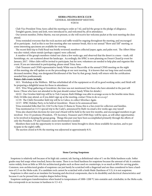#### **SIERRA PELONA ROCK CLUB**

#### GENERAL MEMBERSHIP MEETING

#### 9/20/16

Club Vice President Trina Aeen called the meeting to order at 7:42, and led the group in the pledge of allegiance.

Tonight's guests, Jenny and Josh, were introduced to, and welcomed by, all in attendance.

 Our newest member, Debra Martin, was not present, so she will receive her welcome packet at the next meeting she does attend.

 Trina reminded everyone that the rock auction and raffle would be ongoing throughout the meeting, and encouraged all to participate. And as this is our first meeting after our summer break, this is our annual "Show and Tell" meeting, so some interesting specimens are available for viewing.

 The recent field trip to Field Road was briefly reviewed; members collected jasper, agate, and palm root. The Albert Mine was also visited, where metals (perhaps copper) were collected.

 A number of the group's members visited our claim a few weeks ago, and observed that the desert is a mess – trash, old furnishings, etc. are scattered about the landscape. Accordingly, the SPRC is now planning on Desert CleanUp event for January, 2017. Other clubs will be invited to participate, but for now, volunteers are needed to help plan and organize this event. If you are interested in participating, please email Trina Aeen.

 Club Treasurer and CFMS representative Sandy White was in Placerville at the annual CFMS meeting on the night of this meeting; she will update us on the proceedings at our next meeting. It is known that our long-time and recently deceased member, Shep, was designated Rockhound of the Year by that group; Sandy will return with the certification awarded him posthumously.

#### **Future club events include:**

 10/1: Workshop at the Webbers. Bill has refurbished all of the equipment so it's all in good working order, and Heidi will be preparing a delightful mean for those in attendance.

 10/5: Wire Wrap gathering at Greenbrier; the time was not mentioned, but those who have attended in the past will know. (Those who have not attended in the past should contact Sandy White for details.)

 10/22: Our October field trip will be to Tick Canyon; Ruth Hildago was able to arrange access to the howlite mine there. Only 24 folks may attend, so if you didn't sign up at the meeting, contact Trina to do so a.s.a.p.!

11/19: The Club's November field trip will be to Calico, to collect Silverlace Agate.

12/17: SPRC Holiday Party, to be held at Greenbrier. Hours to be announced later.

 Trina reminded folks that Oct. 8 & 9 is the Gem-O-Rama in Trona; this is a fun event for collectors and families. Tina mentioned an 11/11 special trip to the Cady's, announced by Ruth via email a few weeks ago; stay tuned!

 Trina also shared that elections for next year's Board will be held in the next few months, and encouraged members to get involved. Five (5) positions (President., VP, Secretary, Treasurer and CFMS Rep.) will be open, as will other opportunities to be involved in keeping the group going. Things this past year have been accomplished primarily through the efforts of only the President, VP and Treasurer; more involvement is needed.

 Members then took the opportunity to review members' items brought to show, those available for auction, and to participate in the night's raffle.

The auction closed at 8:30; the meeting was adjourned at approximately 8:31.

#### **Stone Carving-Soapstone**

 Soapstone is relatively soft because of its high talc content, talc having a definitional value of 1 on the Mohs hardness scale. Softer grades may feel soapy when touched, hence the name. There is no fixed hardness for soapstone because the amount of talc it contains varies widely, from as little as 30% for architectural grades such as those used on countertops, to as much as 80% for carving grades. Common, non-architectural grades of soapstone can just barely be scratched with a fingernail and are thus considered to have a hardness of 2.5 on the Mohs scale. If a candidate rock cannot be scratched with a knife blade (hardness of 5.5), it is not soapstone.

 Soapstone is often used as an insulator for housing and electrical components, due to its durability and electrical characteristics and because it can be pressed into complex shapes before firing.

Soapstone undergoes transformations when heated to temperatures of 1000–1200 °C into enstatite and cristobalite; in the Mohs scale, this corresponds to an increase in hardness to 5.5–6.5.